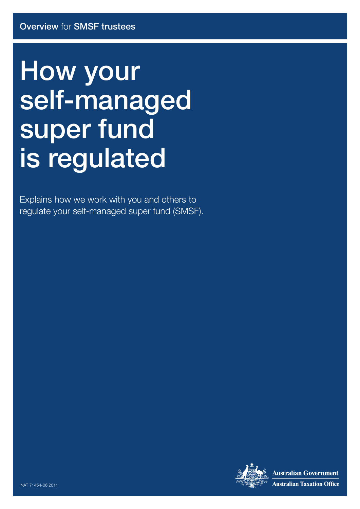# How your self-managed super fund is regulated

Explains how we work with you and others to regulate your self-managed super fund (SMSF).



**Australian Government Australian Taxation Office**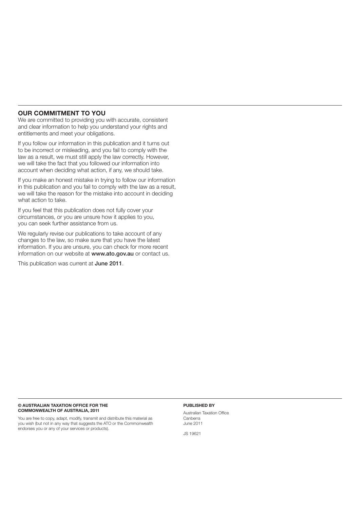### **OUR COMMITMENT TO YOU**

We are committed to providing you with accurate, consistent and clear information to help you understand your rights and entitlements and meet your obligations.

If you follow our information in this publication and it turns out to be incorrect or misleading, and you fail to comply with the law as a result, we must still apply the law correctly. However, we will take the fact that you followed our information into account when deciding what action, if any, we should take.

If you make an honest mistake in trying to follow our information in this publication and you fail to comply with the law as a result, we will take the reason for the mistake into account in deciding what action to take.

If you feel that this publication does not fully cover your circumstances, or you are unsure how it applies to you, you can seek further assistance from us.

We regularly revise our publications to take account of any changes to the law, so make sure that you have the latest information. If you are unsure, you can check for more recent information on our website at www.ato.gov.au or contact us.

This publication was current at June 2011.

#### **© AUSTRALIAN TAXATION OFFICE FOR THE COMMONWEALTH OF AUSTRALIA, 2011**

You are free to copy, adapt, modify, transmit and distribute this material as you wish (but not in any way that suggests the ATO or the Commonwealth endorses you or any of your services or products).

#### **PUBLISHED BY**

Australian Taxation Office Canberra June 2011

JS 19621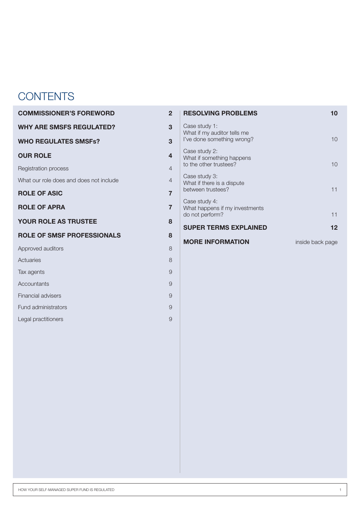# **CONTENTS**

| <b>COMMISSIONER'S FOREWORD</b>          |                |                                                 | 10                                                                                                                                                                                                                  |
|-----------------------------------------|----------------|-------------------------------------------------|---------------------------------------------------------------------------------------------------------------------------------------------------------------------------------------------------------------------|
| <b>WHY ARE SMSFS REGULATED?</b>         | 3              | Case study 1:                                   |                                                                                                                                                                                                                     |
| <b>WHO REGULATES SMSFs?</b>             | $\overline{3}$ | I've done something wrong?                      | 10                                                                                                                                                                                                                  |
| <b>OUR ROLE</b>                         | $\overline{4}$ | Case study 2:                                   |                                                                                                                                                                                                                     |
| <b>Registration process</b>             | $\overline{4}$ | to the other trustees?                          | 10                                                                                                                                                                                                                  |
| What our role does and does not include | $\overline{4}$ | Case study 3:                                   |                                                                                                                                                                                                                     |
| <b>ROLE OF ASIC</b>                     | $\overline{7}$ | between trustees?                               | 11                                                                                                                                                                                                                  |
| <b>ROLE OF APRA</b>                     | $\overline{7}$ | Case study 4:<br>What happens if my investments | 11                                                                                                                                                                                                                  |
| YOUR ROLE AS TRUSTEE                    | 8              |                                                 |                                                                                                                                                                                                                     |
| <b>ROLE OF SMSF PROFESSIONALS</b>       | 8              |                                                 | 12                                                                                                                                                                                                                  |
| Approved auditors                       | 8              |                                                 | inside back page                                                                                                                                                                                                    |
| Actuaries                               | 8              |                                                 |                                                                                                                                                                                                                     |
| Tax agents                              | 9              |                                                 |                                                                                                                                                                                                                     |
| Accountants                             | 9              |                                                 |                                                                                                                                                                                                                     |
| Financial advisers                      | 9              |                                                 |                                                                                                                                                                                                                     |
| Fund administrators                     | 9              |                                                 |                                                                                                                                                                                                                     |
| Legal practitioners                     | 9              |                                                 |                                                                                                                                                                                                                     |
|                                         |                |                                                 | $\overline{2}$<br><b>RESOLVING PROBLEMS</b><br>What if my auditor tells me<br>What if something happens<br>What if there is a dispute<br>do not perform?<br><b>SUPER TERMS EXPLAINED</b><br><b>MORE INFORMATION</b> |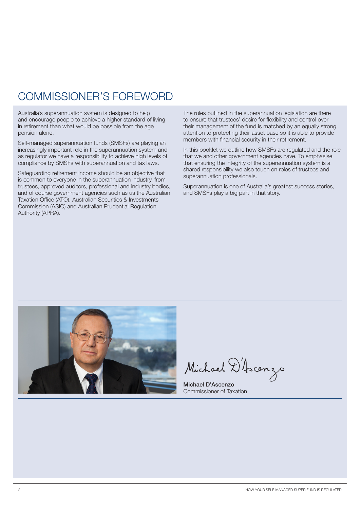### COMMISSIONER'S FOREWORD

Australia's superannuation system is designed to help and encourage people to achieve a higher standard of living in retirement than what would be possible from the age pension alone.

Self-managed superannuation funds (SMSFs) are playing an increasingly important role in the superannuation system and as regulator we have a responsibility to achieve high levels of compliance by SMSFs with superannuation and tax laws.

Safeguarding retirement income should be an objective that is common to everyone in the superannuation industry, from trustees, approved auditors, professional and industry bodies, and of course government agencies such as us the Australian Taxation Office (ATO), Australian Securities & Investments Commission (ASIC) and Australian Prudential Regulation Authority (APRA).

The rules outlined in the superannuation legislation are there to ensure that trustees' desire for flexibility and control over their management of the fund is matched by an equally strong attention to protecting their asset base so it is able to provide members with financial security in their retirement.

In this booklet we outline how SMSFs are regulated and the role that we and other government agencies have. To emphasise that ensuring the integrity of the superannuation system is a shared responsibility we also touch on roles of trustees and superannuation professionals.

Superannuation is one of Australia's greatest success stories, and SMSFs play a big part in that story.



Michael D'Ascenzo

Michael D'Ascenzo Commissioner of Taxation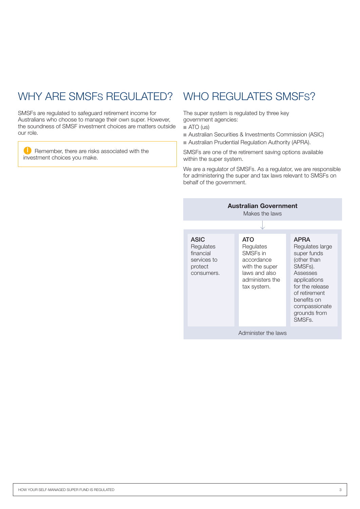# WHY ARE SMSFS REGULATED? WHO REGULATES SMSFS?

SMSFs are regulated to safeguard retirement income for Australians who choose to manage their own super. However, the soundness of SMSF investment choices are matters outside our role.

**C** Remember, there are risks associated with the investment choices you make.

The super system is regulated by three key government agencies:

- $\blacksquare$  ATO (us)
- Australian Securities & Investments Commission (ASIC)
- Australian Prudential Regulation Authority (APRA).

SMSFs are one of the retirement saving options available within the super system.

We are a regulator of SMSFs. As a regulator, we are responsible for administering the super and tax laws relevant to SMSFs on behalf of the government.

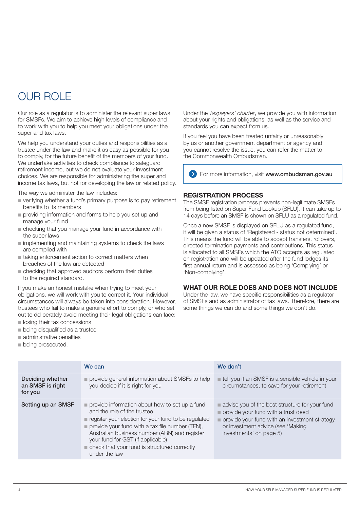### OUR ROLE

Our role as a regulator is to administer the relevant super laws for SMSFs. We aim to achieve high levels of compliance and to work with you to help you meet your obligations under the super and tax laws.

We help you understand your duties and responsibilities as a trustee under the law and make it as easy as possible for you to comply, for the future benefit of the members of your fund. We undertake activities to check compliance to safeguard retirement income, but we do not evaluate your investment choices. We are responsible for administering the super and income tax laws, but not for developing the law or related policy.

The way we administer the law includes:

- $\blacksquare$  verifying whether a fund's primary purpose is to pay retirement benefits to its members
- n providing information and forms to help you set up and manage your fund
- n checking that you manage your fund in accordance with the super laws
- $\blacksquare$  implementing and maintaining systems to check the laws are complied with
- $\blacksquare$  taking enforcement action to correct matters when breaches of the law are detected
- $\blacksquare$  checking that approved auditors perform their duties to the required standard.

If you make an honest mistake when trying to meet your obligations, we will work with you to correct it. Your individual circumstances will always be taken into consideration. However, trustees who fail to make a genuine effort to comply, or who set out to deliberately avoid meeting their legal obligations can face:

- $\blacksquare$  losing their tax concessions
- $\blacksquare$  being disqualified as a trustee
- $\blacksquare$  administrative penalties
- $\blacksquare$  being prosecuted.

Under the *Taxpayers' charter*, we provide you with information about your rights and obligations, as well as the service and standards you can expect from us.

If you feel you have been treated unfairly or unreasonably by us or another government department or agency and you cannot resolve the issue, you can refer the matter to the Commonwealth Ombudsman.

**EXT** For more information, visit www.ombudsman.gov.au

### **REGISTRATION PROCESS**

The SMSF registration process prevents non-legitimate SMSFs from being listed on Super Fund Lookup (SFLU). It can take up to 14 days before an SMSF is shown on SFLU as a regulated fund.

Once a new SMSF is displayed on SFLU as a regulated fund, it will be given a status of 'Registered - status not determined'. This means the fund will be able to accept transfers, rollovers, directed termination payments and contributions. This status is allocated to all SMSFs which the ATO accepts as regulated on registration and will be updated after the fund lodges its first annual return and is assessed as being 'Complying' or 'Non-complying'.

### **WHAT OUR ROLE DOES AND DOES NOT INCLUDE**

Under the law, we have specific responsibilities as a regulator of SMSFs and as administrator of tax laws. Therefore, there are some things we can do and some things we don't do.

|                                                 | We can                                                                                                                                                                                                                                                                                                                                                           | We don't                                                                                                                                                                                                |
|-------------------------------------------------|------------------------------------------------------------------------------------------------------------------------------------------------------------------------------------------------------------------------------------------------------------------------------------------------------------------------------------------------------------------|---------------------------------------------------------------------------------------------------------------------------------------------------------------------------------------------------------|
| Deciding whether<br>an SMSF is right<br>for you | provide general information about SMSFs to help<br>you decide if it is right for you                                                                                                                                                                                                                                                                             | tell you if an SMSF is a sensible vehicle in your<br>circumstances, to save for your retirement                                                                                                         |
| Setting up an SMSF                              | provide information about how to set up a fund<br>and the role of the trustee<br>register your election for your fund to be regulated<br>$\blacksquare$ provide your fund with a tax file number (TFN),<br>Australian business number (ABN) and register<br>your fund for GST (if applicable)<br>■ check that your fund is structured correctly<br>under the law | advise you of the best structure for your fund<br>provide your fund with a trust deed<br>provide your fund with an investment strategy<br>or investment advice (see 'Making'<br>investments' on page 5) |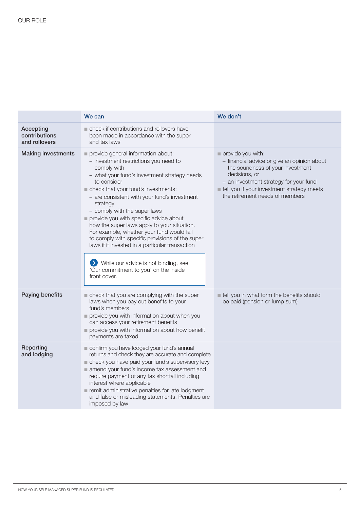|                                             | We can                                                                                                                                                                                                                                                                                                                                                                                                                                                                                                                                                                                                                                    | We don't                                                                                                                                                                                                                                         |
|---------------------------------------------|-------------------------------------------------------------------------------------------------------------------------------------------------------------------------------------------------------------------------------------------------------------------------------------------------------------------------------------------------------------------------------------------------------------------------------------------------------------------------------------------------------------------------------------------------------------------------------------------------------------------------------------------|--------------------------------------------------------------------------------------------------------------------------------------------------------------------------------------------------------------------------------------------------|
| Accepting<br>contributions<br>and rollovers | check if contributions and rollovers have<br>been made in accordance with the super<br>and tax laws                                                                                                                                                                                                                                                                                                                                                                                                                                                                                                                                       |                                                                                                                                                                                                                                                  |
| <b>Making investments</b>                   | provide general information about:<br>- investment restrictions you need to<br>comply with<br>- what your fund's investment strategy needs<br>to consider<br>check that your fund's investments:<br>- are consistent with your fund's investment<br>strategy<br>- comply with the super laws<br>provide you with specific advice about<br>how the super laws apply to your situation.<br>For example, whether your fund would fail<br>to comply with specific provisions of the super<br>laws if it invested in a particular transaction<br>While our advice is not binding, see<br>'Our commitment to you' on the inside<br>front cover. | provide you with:<br>- financial advice or give an opinion about<br>the soundness of your investment<br>decisions, or<br>- an investment strategy for your fund<br>tell you if your investment strategy meets<br>the retirement needs of members |
| Paying benefits                             | check that you are complying with the super<br>laws when you pay out benefits to your<br>fund's members<br>provide you with information about when you<br>can access your retirement benefits<br>provide you with information about how benefit<br>payments are taxed                                                                                                                                                                                                                                                                                                                                                                     | tell you in what form the benefits should<br>be paid (pension or lump sum)                                                                                                                                                                       |
| Reporting<br>and lodging                    | confirm you have lodged your fund's annual<br>returns and check they are accurate and complete<br>check you have paid your fund's supervisory levy<br>amend your fund's income tax assessment and<br>require payment of any tax shortfall including<br>interest where applicable<br>remit administrative penalties for late lodgment<br>and false or misleading statements. Penalties are<br>imposed by law                                                                                                                                                                                                                               |                                                                                                                                                                                                                                                  |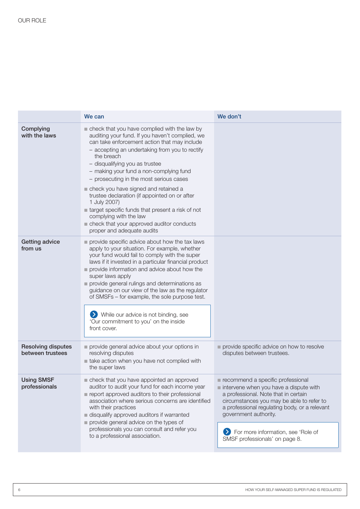| We can                                                                                                                                                                                                                                                                                                                                                                                                                                                                                                                                                                                                    | We don't                                                                                                                                                                                                                                                                                                                 |
|-----------------------------------------------------------------------------------------------------------------------------------------------------------------------------------------------------------------------------------------------------------------------------------------------------------------------------------------------------------------------------------------------------------------------------------------------------------------------------------------------------------------------------------------------------------------------------------------------------------|--------------------------------------------------------------------------------------------------------------------------------------------------------------------------------------------------------------------------------------------------------------------------------------------------------------------------|
| check that you have complied with the law by<br>auditing your fund. If you haven't complied, we<br>can take enforcement action that may include<br>- accepting an undertaking from you to rectify<br>the breach<br>- disqualifying you as trustee<br>- making your fund a non-complying fund<br>- prosecuting in the most serious cases<br>check you have signed and retained a<br>trustee declaration (if appointed on or after<br>1 July 2007)<br>target specific funds that present a risk of not<br>complying with the law<br>check that your approved auditor conducts<br>proper and adequate audits |                                                                                                                                                                                                                                                                                                                          |
| provide specific advice about how the tax laws<br>apply to your situation. For example, whether<br>your fund would fail to comply with the super<br>laws if it invested in a particular financial product<br>provide information and advice about how the<br>super laws apply<br>provide general rulings and determinations as<br>guidance on our view of the law as the regulator<br>of SMSFs - for example, the sole purpose test.<br>While our advice is not binding, see<br>'Our commitment to you' on the inside<br>front cover.                                                                     |                                                                                                                                                                                                                                                                                                                          |
| provide general advice about your options in<br>resolving disputes<br>take action when you have not complied with<br>the super laws                                                                                                                                                                                                                                                                                                                                                                                                                                                                       | provide specific advice on how to resolve<br>disputes between trustees.                                                                                                                                                                                                                                                  |
| check that you have appointed an approved<br>auditor to audit your fund for each income year<br>report approved auditors to their professional<br>association where serious concerns are identified<br>with their practices<br>disqualify approved auditors if warranted<br>provide general advice on the types of<br>professionals you can consult and refer you<br>to a professional association.                                                                                                                                                                                                       | recommend a specific professional<br>intervene when you have a dispute with<br>a professional. Note that in certain<br>circumstances you may be able to refer to<br>a professional regulating body, or a relevant<br>government authority.<br>For more information, see 'Role of<br>21<br>SMSF professionals' on page 8. |
|                                                                                                                                                                                                                                                                                                                                                                                                                                                                                                                                                                                                           |                                                                                                                                                                                                                                                                                                                          |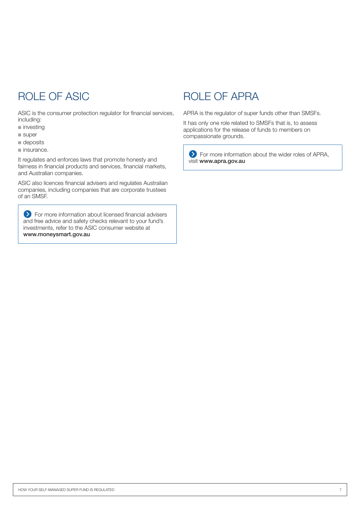ASIC is the consumer protection regulator for financial services, including:

- $\blacksquare$  investing
- $\blacksquare$  super
- $\blacksquare$  deposits
- $\blacksquare$  insurance.

It regulates and enforces laws that promote honesty and fairness in financial products and services, financial markets, and Australian companies.

ASIC also licences financial advisers and regulates Australian companies, including companies that are corporate trustees of an SMSF.

For more information about licensed financial advisers and free advice and safety checks relevant to your fund's investments, refer to the ASIC consumer website at www.moneysmart.gov.au

### ROLE OF ASIC BOLE OF APRA

APRA is the regulator of super funds other than SMSFs.

It has only one role related to SMSFs that is, to assess applications for the release of funds to members on compassionate grounds.

For more information about the wider roles of APRA, visit www.apra.gov.au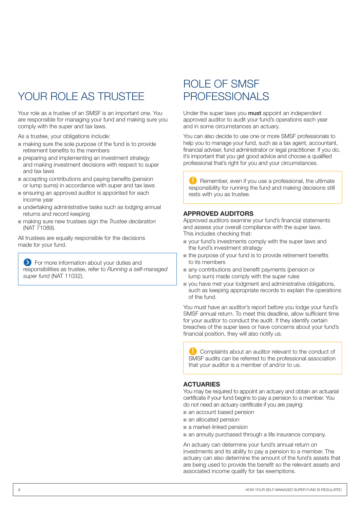## YOUR ROLE AS TRUSTEE

Your role as a trustee of an SMSF is an important one. You are responsible for managing your fund and making sure you comply with the super and tax laws.

As a trustee, your obligations include:

- $\blacksquare$  making sure the sole purpose of the fund is to provide retirement benefits to the members
- $\blacksquare$  preparing and implementing an investment strategy and making investment decisions with respect to super and tax laws
- $\blacksquare$  accepting contributions and paying benefits (pension or lump sums) in accordance with super and tax laws
- n ensuring an approved auditor is appointed for each income year
- $\blacksquare$  undertaking administrative tasks such as lodging annual returns and record keeping
- $\blacksquare$  making sure new trustees sign the *Trustee declaration* (NAT 71089).

All trustees are equally responsible for the decisions made for your fund.

**S** For more information about your duties and responsibilities as trustee, refer to *Running a self-managed super fund* (NAT 11032).

### ROLE OF SMSF PROFESSIONALS

Under the super laws you **must** appoint an independent approved auditor to audit your fund's operations each year and in some circumstances an actuary.

You can also decide to use one or more SMSF professionals to help you to manage your fund, such as a tax agent, accountant, financial adviser, fund administrator or legal practitioner. If you do, it's important that you get good advice and choose a qualified professional that's right for you and your circumstances.

Remember, even if you use a professional, the ultimate responsibility for running the fund and making decisions still rests with you as trustee.

### **APPROVED AUDITORS**

Approved auditors examine your fund's financial statements and assess your overall compliance with the super laws. This includes checking that:

- $\blacksquare$  your fund's investments comply with the super laws and the fund's investment strategy
- $\blacksquare$  the purpose of your fund is to provide retirement benefits to its members
- $\blacksquare$  any contributions and benefit payments (pension or lump sum) made comply with the super rules
- vou have met your lodgment and administrative obligations, such as keeping appropriate records to explain the operations of the fund.

You must have an auditor's report before you lodge your fund's SMSF annual return. To meet this deadline, allow sufficient time for your auditor to conduct the audit. If they identify certain breaches of the super laws or have concerns about your fund's financial position, they will also notify us.

Complaints about an auditor relevant to the conduct of SMSF audits can be referred to the professional association that your auditor is a member of and/or to us.

### **ACTUARIES**

You may be required to appoint an actuary and obtain an actuarial certificate if your fund begins to pay a pension to a member. You do not need an actuary certificate if you are paying:

- $\blacksquare$  an account based pension
- $\blacksquare$  an allocated pension
- $\blacksquare$  a market-linked pension
- $\blacksquare$  an annuity purchased through a life insurance company.

An actuary can determine your fund's annual return on investments and its ability to pay a pension to a member. The actuary can also determine the amount of the fund's assets that are being used to provide the benefit so the relevant assets and associated income qualify for tax exemptions.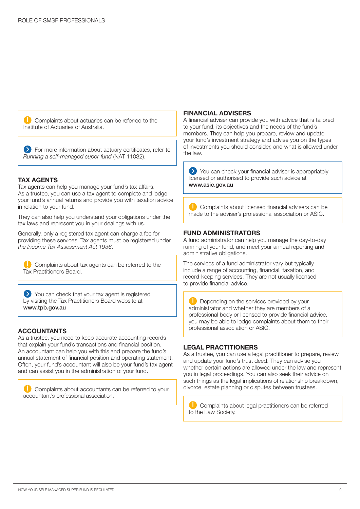Complaints about actuaries can be referred to the Institute of Actuaries of Australia.

For more information about actuary certificates, refer to *Running a self-managed super fund* (NAT 11032).

#### **TAX AGENTS**

Tax agents can help you manage your fund's tax affairs. As a trustee, you can use a tax agent to complete and lodge your fund's annual returns and provide you with taxation advice in relation to your fund.

They can also help you understand your obligations under the tax laws and represent you in your dealings with us.

Generally, only a registered tax agent can charge a fee for providing these services. Tax agents must be registered under *the Income Tax Assessment Act 1936*.

Complaints about tax agents can be referred to the Tax Practitioners Board.

You can check that your tax agent is registered by visiting the Tax Practitioners Board website at www.tpb.gov.au

### **ACCOUNTANTS**

As a trustee, you need to keep accurate accounting records that explain your fund's transactions and financial position. An accountant can help you with this and prepare the fund's annual statement of financial position and operating statement. Often, your fund's accountant will also be your fund's tax agent and can assist you in the administration of your fund.

Complaints about accountants can be referred to your accountant's professional association.

### **FINANCIAL ADVISERS**

A financial adviser can provide you with advice that is tailored to your fund, its objectives and the needs of the fund's members. They can help you prepare, review and update your fund's investment strategy and advise you on the types of investments you should consider, and what is allowed under the law.

You can check your financial adviser is appropriately licensed or authorised to provide such advice at www.asic.gov.au

Complaints about licensed financial advisers can be made to the adviser's professional association or ASIC.

### **FUND ADMINISTRATORS**

A fund administrator can help you manage the day‑to‑day running of your fund, and meet your annual reporting and administrative obligations.

The services of a fund administrator vary but typically include a range of accounting, financial, taxation, and record-keeping services. They are not usually licensed to provide financial advice.

Depending on the services provided by your administrator and whether they are members of a professional body or licensed to provide financial advice, you may be able to lodge complaints about them to their professional association or ASIC.

#### **LEGAL PRACTITIONERS**

As a trustee, you can use a legal practitioner to prepare, review and update your fund's trust deed. They can advise you whether certain actions are allowed under the law and represent you in legal proceedings. You can also seek their advice on such things as the legal implications of relationship breakdown, divorce, estate planning or disputes between trustees.

Complaints about legal practitioners can be referred to the Law Society.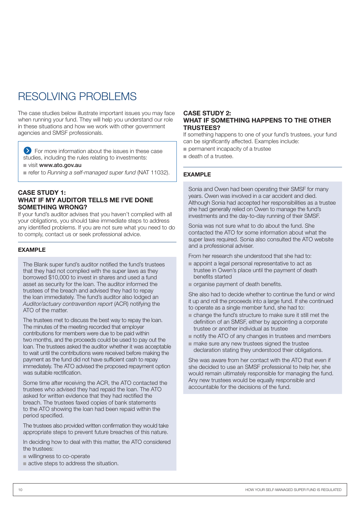## RESOLVING PROBLEMS

The case studies below illustrate important issues you may face when running your fund. They will help you understand our role in these situations and how we work with other government agencies and SMSF professionals.

**EX** For more information about the issues in these case studies, including the rules relating to investments:

 $\blacksquare$  visit www.ato.gov.au

refer to *Running a self-managed super fund* (NAT 11032).

### **CASE STUDY 1: WHAT IF MY AUDITOR TELLS ME I'VE DONE SOMETHING WRONG?**

If your fund's auditor advises that you haven't complied with all your obligations, you should take immediate steps to address any identified problems. If you are not sure what you need to do to comply, contact us or seek professional advice.

### **EXAMPLE**

The Blank super fund's auditor notified the fund's trustees that they had not complied with the super laws as they borrowed \$10,000 to invest in shares and used a fund asset as security for the loan. The auditor informed the trustees of the breach and advised they had to repay the loan immediately. The fund's auditor also lodged an *Auditor/actuary contravention report* (ACR) notifying the ATO of the matter.

The trustees met to discuss the best way to repay the loan. The minutes of the meeting recorded that employer contributions for members were due to be paid within two months, and the proceeds could be used to pay out the loan. The trustees asked the auditor whether it was acceptable to wait until the contributions were received before making the payment as the fund did not have sufficient cash to repay immediately. The ATO advised the proposed repayment option was suitable rectification.

Some time after receiving the ACR, the ATO contacted the trustees who advised they had repaid the loan. The ATO asked for written evidence that they had rectified the breach. The trustees faxed copies of bank statements to the ATO showing the loan had been repaid within the period specified.

The trustees also provided written confirmation they would take appropriate steps to prevent future breaches of this nature.

In deciding how to deal with this matter, the ATO considered the trustees:

- willingness to co-operate
- $\blacksquare$  active steps to address the situation.

### **CASE STUDY 2: WHAT IF SOMETHING HAPPENS TO THE OTHER TRUSTEES?**

If something happens to one of your fund's trustees, your fund can be significantly affected. Examples include:

- $\blacksquare$  permanent incapacity of a trustee
- $\blacksquare$  death of a trustee.

### **EXAMPLE**

Sonia and Owen had been operating their SMSF for many years. Owen was involved in a car accident and died. Although Sonia had accepted her responsibilities as a trustee she had generally relied on Owen to manage the fund's investments and the day-to-day running of their SMSF.

Sonia was not sure what to do about the fund. She contacted the ATO for some information about what the super laws required. Sonia also consulted the ATO website and a professional adviser.

From her research she understood that she had to:

- $\blacksquare$  appoint a legal personal representative to act as trustee in Owen's place until the payment of death benefits started
- $\blacksquare$  organise payment of death benefits.

She also had to decide whether to continue the fund or wind it up and roll the proceeds into a large fund. If she continued to operate as a single member fund, she had to:

- $\blacksquare$  change the fund's structure to make sure it still met the definition of an SMSF, either by appointing a corporate trustee or another individual as trustee
- $\blacksquare$  notify the ATO of any changes in trustees and members
- $n$  make sure any new trustees signed the trustee declaration stating they understood their obligations.

She was aware from her contact with the ATO that even if she decided to use an SMSF professional to help her, she would remain ultimately responsible for managing the fund. Any new trustees would be equally responsible and accountable for the decisions of the fund.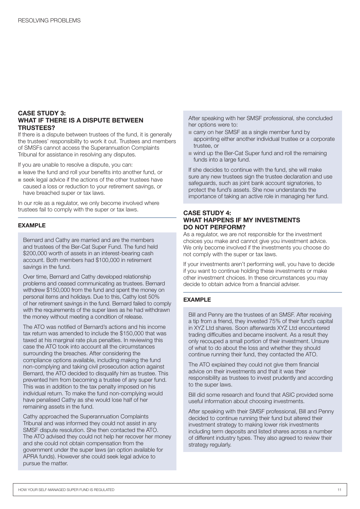### **CASE STUDY 3: WHAT IF THERE IS A DISPUTE BETWEEN TRUSTEES?**

If there is a dispute between trustees of the fund, it is generally the trustees' responsibility to work it out. Trustees and members of SMSFs cannot access the Superannuation Complaints Tribunal for assistance in resolving any disputes.

If you are unable to resolve a dispute, you can:

- leave the fund and roll your benefits into another fund, or
- $\blacksquare$  seek legal advice if the actions of the other trustees have caused a loss or reduction to your retirement savings, or have breached super or tax laws.

In our role as a regulator, we only become involved where trustees fail to comply with the super or tax laws.

#### **EXAMPLE**

Bernard and Cathy are married and are the members and trustees of the Ber‑Cat Super Fund. The fund held \$200,000 worth of assets in an interest-bearing cash account. Both members had \$100,000 in retirement savings in the fund.

Over time, Bernard and Cathy developed relationship problems and ceased communicating as trustees. Bernard withdrew \$150,000 from the fund and spent the money on personal items and holidays. Due to this, Cathy lost 50% of her retirement savings in the fund. Bernard failed to comply with the requirements of the super laws as he had withdrawn the money without meeting a condition of release.

The ATO was notified of Bernard's actions and his income tax return was amended to include the \$150,000 that was taxed at his marginal rate plus penalties. In reviewing this case the ATO took into account all the circumstances surrounding the breaches. After considering the compliance options available, including making the fund non‑complying and taking civil prosecution action against Bernard, the ATO decided to disqualify him as trustee. This prevented him from becoming a trustee of any super fund. This was in addition to the tax penalty imposed on his individual return. To make the fund non‑complying would have penalised Cathy as she would lose half of her remaining assets in the fund.

Cathy approached the Superannuation Complaints Tribunal and was informed they could not assist in any SMSF dispute resolution. She then contacted the ATO. The ATO advised they could not help her recover her money and she could not obtain compensation from the government under the super laws (an option available for APRA funds). However she could seek legal advice to pursue the matter.

After speaking with her SMSF professional, she concluded her options were to:

- $\blacksquare$  carry on her SMSF as a single member fund by appointing either another individual trustee or a corporate trustee, or
- $\blacksquare$  wind up the Ber-Cat Super fund and roll the remaining funds into a large fund.

If she decides to continue with the fund, she will make sure any new trustees sign the trustee declaration and use safeguards, such as joint bank account signatories, to protect the fund's assets. She now understands the importance of taking an active role in managing her fund.

### **CASE STUDY 4: WHAT HAPPENS IF MY INVESTMENTS DO NOT PERFORM?**

As a regulator, we are not responsible for the investment choices you make and cannot give you investment advice. We only become involved if the investments you choose do not comply with the super or tax laws.

If your investments aren't performing well, you have to decide if you want to continue holding these investments or make other investment choices. In these circumstances you may decide to obtain advice from a financial adviser.

#### **EXAMPLE**

Bill and Penny are the trustees of an SMSF. After receiving a tip from a friend, they invested 75% of their fund's capital in XYZ Ltd shares. Soon afterwards XYZ Ltd encountered trading difficulties and became insolvent. As a result they only recouped a small portion of their investment. Unsure of what to do about the loss and whether they should continue running their fund, they contacted the ATO.

The ATO explained they could not give them financial advice on their investments and that it was their responsibility as trustees to invest prudently and according to the super laws.

Bill did some research and found that ASIC provided some useful information about choosing investments.

After speaking with their SMSF professional, Bill and Penny decided to continue running their fund but altered their investment strategy to making lower risk investments including term deposits and listed shares across a number of different industry types. They also agreed to review their strategy regularly.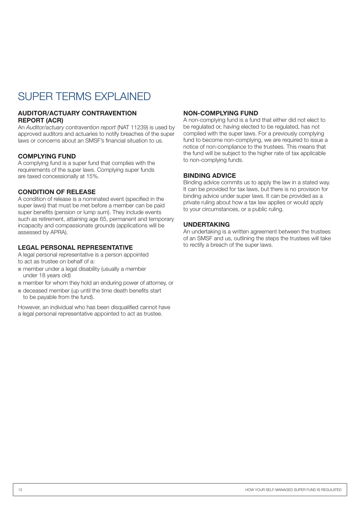## SUPER TERMS EXPLAINED

### **AUDITOR/ACTUARY CONTRAVENTION REPORT (ACR)**

An *Auditor/actuary contravention report* (NAT 11239) is used by approved auditors and actuaries to notify breaches of the super laws or concerns about an SMSF's financial situation to us.

### **COMPLYING FUND**

A complying fund is a super fund that complies with the requirements of the super laws. Complying super funds are taxed concessionally at 15%.

### **CONDITION OF RELEASE**

A condition of release is a nominated event (specified in the super laws) that must be met before a member can be paid super benefits (pension or lump sum). They include events such as retirement, attaining age 65, permanent and temporary incapacity and compassionate grounds (applications will be assessed by APRA).

### **LEGAL PERSONAL REPRESENTATIVE**

A legal personal representative is a person appointed to act as trustee on behalf of a:

- $\blacksquare$  member under a legal disability (usually a member under 18 years old)
- $\blacksquare$  member for whom they hold an enduring power of attorney, or
- $\blacksquare$  deceased member (up until the time death benefits start to be payable from the fund).

However, an individual who has been disqualified cannot have a legal personal representative appointed to act as trustee.

### **NON‑COMPLYING FUND**

A non-complying fund is a fund that either did not elect to be regulated or, having elected to be regulated, has not complied with the super laws. For a previously complying fund to become non-complying, we are required to issue a notice of non-compliance to the trustees. This means that the fund will be subject to the higher rate of tax applicable to non‑complying funds.

### **BINDING ADVICE**

Binding advice commits us to apply the law in a stated way. It can be provided for tax laws, but there is no provision for binding advice under super laws. It can be provided as a private ruling about how a tax law applies or would apply to your circumstances, or a public ruling.

### **UNDERTAKING**

An undertaking is a written agreement between the trustees of an SMSF and us, outlining the steps the trustees will take to rectify a breach of the super laws.